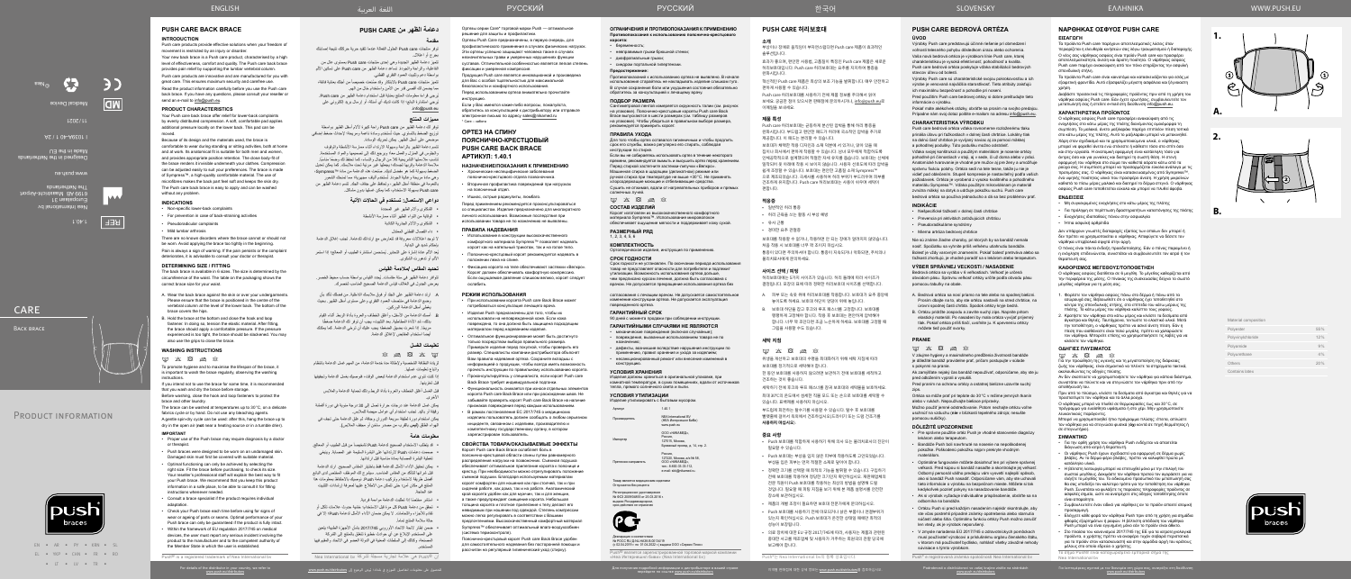Για λεπτομέρειες σχετικά με τον διανομέα στη χώρα σας, ανατρέξτε στη διεύθυνση

تتميز دعامة الظهر الجديدة وهي إحدى منتجات care Push ِ بمستوى عال من الفاعلية، والراحة والجودة. تساعد دعامة الظهر من Push care على تسكين الألم

تتميز منتجات Push care بالابتكار وقد صنعت خصيصاً من أجلك بعناية فائقة،

**1.**

**A.**

**B.**





**2.**

| Material composition |     |
|----------------------|-----|
| Polyester            | 55% |
| Polyvinylchloride    | 12% |
| Polyamide            | 9%  |
| Polyurethane         | 4%  |
| Others               | 20% |
| Contains latex       |     |



**دعامة الظهر من CARE PUSH**

**مقدمة**

توفر منتجات care Push الحلول الفعالة عندما تتقيد حرية حركتك نتيجة إصابتك

بجرح أو اعتالل.

بواسطة دعم وتثبيت العمود الفقري القطني.

ِ مما يضمن لك أقصى قدر من األمن واستخدام خال من الهم.

ُيرجى قراءة معلومات المنتج بعناية قبل استخدام دعامة الظهر من care Push. ُيرجي استشارة البائع؛ إذا كانت لديك أي أسئلة، أو إرسال بريد إلكتروني على

توفر لك دعامة الظهر من Push care راحة كبيرة لألام أسفل الظهر بواسطة توزيع الضغط بالتساوي حيث تُستخدم وسادة ناعمة ومريحة؛ لإحداث ضغط إضافي

.info@push.eu **مميزات المنتج**

بذلك، شد الأداة المطاطية. بعد التثبيت، يجب أن توفر لك الدعامة ضغطًا ً مريحا. إذا شعرت بضيق الضغط؛ يجب عليك أن ترخي الدعامة. كما يمكنك

موضعي على أسفل الظهر. يمكن تحريك الوسادة.

تتسم دعامة الظهر بالراحة وسهولة االرتداء أثناء ممارسة األنشطة والوقوف والجلوس في المنزل والعمل معاً؛ ويرجع ذلك إلى تصميمها والمواد المستخدمة. تناسب ملاءمتها التشريحية كلا من الرجال والنساء، كما تحفظ لك وضعًا مناسبًا. مالءمة الدعامة وقربها لجسدك؛ يجعلها غير مرئية تحت مالبسك. كما يمكن تعديل الضغط بسهولة كما هو مفضل لديك. صُنعت هذه الدعامة من مادة ™Sympress، وهي مادة مريحة وعالية الجودة. تُستخدم ألياف مجهرية؛ مما تمنحك الشعور بالنعومة في منطقة أسفل الظهر، وتحافظ على جفاف الجلد. تتسم دعامة الظهر من

> care Push بسهولة االستخدام، كما يمكن غسلها بدون مشاكل. **دواعي االستعمال: تستخدم في الحاالت اآلتية**

> > الشكاوى وآالم الظهر غير المحددة الوقاية من التواء الظهر أثناء ممارسة األنشطة الشكاوى واآلالم الجذرية الكاذبة داء الفصال القطني المعتدل

- قد يتطلب الاستخدام الصحيح لدعامة Push تشخيصاً من قبل الطبيب أو المعالج. صممت دعامات Push الرتدائها على البشرة السليمة غير المصابة. وينبغي
- تغطية البشرة المصابة بمادة مناسبة قبل ارتدائها. • يمكن تحقيق الأداء الأمثل للدعامة فقط باختيار المقاس الصحيح. ارتد الدعامة
- قبل شرائها لتتأكد من المقاس المناسب. سيشرح لك الموظف المختص لدى البائع أفضل طريقة الستخدام وتركيب دعامة Push. نوصيك باالحتفاظ بمعلومات هذا المنتج في مكان آمن؛ حتى تتمكن من االطالع عليها لمعرفة إرشادات التثبيت عند الحاجة.
	- ً استشر مختصا إذا تطلبت الدعامة مواءمة فردية.
- تحقق من دعامة Push كل مرة قبل االستخدام؛ خشية حدوث عالمات تآكل أو تقادم لألجزاء واللحامات. ال يمكن ضمان األداء األمثل لدعامة Push؛ إال في حالة سلامة المنتج تماماً.
- ضمن إطار الئحة االتحاد األوروبي 2017/745 بشأن األجهزة الطبية؛ يتعين على المستخدم اإلبالغ عن أي حوادث خطيرة تتعلق بالمنتج إلى الشركة المصنعة، وكذلك إلى السلطات المعنية في الدولة العضو في االتحاد والمقيم فيها

ال توجد اعتالالت معروفة قد تتعارض مع ارتدائك للدعامة. تجنب إغالق الدعامة

يُعد الألم عادة إشارة على التحذير. يُستحسن استشارة الطبيب أو المعالج؛ إذا استمر

بإحكام شديد في البداية.

ف المستخدم.

األلم أو تدهورت الشكوى.

**تحديد المقاس /مالءمة القياس**

ُ تتوافر دعامة الظهر في ستة مقاسات. يحدد القياس بواسطة حساب محيط الخصر. يعرض الجدول في الغالف قياس الدعامة الصحيح المناسب لخصرك.

 . ِ ارتد دعامة الظهر على الجلد أو فوق مالبسك الداخلية. من فضلك تأكد بأن وضع الدعامة في منتصف العمود الفقري وعلى مستوى أسفل الظهر. بحيث

يغطي أسفل الدعامة الوركين.

 $\otimes$  a  $\boxtimes$   $\times$   $\boxdot$ 

أيضاً استخدام المقابض لإغلاق الدعامة.

 . أمسك الدعامة من األسفل، وأغلق الخطاف والعروة بأداة الربط. أثناء القيام

ً

Регистрационное удостоверение<br>№ ФСЗ 2009/04855 от 25.03.2016 г. выдано Росздравнадзором, срок действия не ограничен



**تعليمات الغسل**

لزيادة النظافة الشخصية وإلطالة مدة خدمة الدعامة، من المهم غسل الدعامة بانتظام

واتباع تعليمات غسلها.

إذا كنت تنوي عدم استخدام الدعامة لبعض الوقت، فنوصيك بغسل الدعامة وتجفيفها

قبل تخزينها.

األخرى.

قبل الغسل أغلق الخطاف والعروة بأداة الربط وذلك لحماية الدعامة والمالبس يمكن غسل الدعامة عند درجات حرارة تصل إلى 30 درجة مئوية في دورة أقمشة رقيقة أو باليد. تجنب استخدام أي عوامل مبيضة للمالبس.

يمكن استخدام دورة لطيفة سريعة الدوران وجافة، ثم علق الدعامة حتى تجف في الهواء الطلق )**ليس** بالقرب من مصدر ساخن أو مجفف المالبس(.

## **معلومات هامة**

**КОМПЛЕКТНОСТЬ** Ортопедическое изделие, инструкция по применени

согласования с лечащим врачом. Не допускается самостоятельное изменение конструкции ортеза. Не допускается эксплуатация поврежденного ортеза.

#### **ГАРАНТИЙНЫЙ СРОК**

90 дней с момента продажи при соблюдении инструкции. **ГАРАНТИЙНЫМИ СЛУЧАЯМИ НЕ ЯВЛЯЮТСЯ**

• механические повреждения (включая случайные); • повреждения, вызванные использованием товара не по назначению;

• дефекты, возникшие вследствие нарушения инструкции по применению, правил хранения и ухода за изделием; • несанкционированный ремонт или внесение изменений в конструкцию.

#### **УСЛОВИЯ ХРАНЕНИЯ**

Изделия должны храниться в оригинальной упаковке, при комнатной температуре, в сухих помещениях, вдали от источников тепла, прямого солнечного света и пыли.

## **УСЛОВИЯ УТИЛИЗАЦИИ**

#### **OCRATE C GEITORLIM MYCODOM**

| Артикул       | 1.40.1                                                              |
|---------------|---------------------------------------------------------------------|
| Производитель | <b>NFA International BV</b><br>(НЕА Интернешнл БиВи)<br>www.push.eu |
| Импортер      | ООО «НИКАМЕД».<br>Россия.<br>$A07045$ Mexica                        |

Россия,<br>127015, Москва,<br>Бумажный проезд, д. 14, стр. 2.

Россия,<br>127220, Москва, а/я № 58,<br>ООО «НИКАМЕД», тел.: 8-800-33-33-112, e-mail: skk@nikamed.r

Претензии направлять

Для получения подробной информации о дистрибьюторе в вашей стране<br>перейдите по ссылке <u>www.push.eu/distributors</u>

## Товар является медицинским изделием Отпускается без рецепта

Декларация о соответствии № РОСС RU Д-NL.НА38.B.00134/19 (с 02.04.2019 г. по 01.04.2022 г.) выдана ООО «Сервис Плюс»

.<br>Пояснично-крестцовый корсет Push care Back Brace удобен рассчитан на регулярный гигиенический уход (стирку).

Push® является зарегистрированной торговой маркой компании «Неа Интернешнл биви» (Nea International bv)

#### **ОГРАНИЧЕНИЯ И ПРОТИВОПОКАЗАНИЯ К ПРИМЕНЕНИЮ Противопоказания к использованию пояснично‑крестцового**

**корсета:**

### • беременность;

• невправимые грыжи брюшной стенки;

• диафрагмальные грыжи; • синдром портальной гипертензии.

#### **Предостережение:**

Противопоказаний к использованию ортеза не выявлено. В начале использования старайтесь не накладывать изделие слишком туго. В случае сохранения боли или ухудшения состояния обязательно обратитесь за консультацией к лечащему врачу.

## **ПОДБОР РАЗМЕРА**

Сантиметровой лентой измеряется окружность талии (см. рисунок на упаковке). Пояснично-крестцовые корсеты Push care Back Brace выпускаются в шести размерах (см. таблицу размеров на упаковке). Чтобы убедиться в правильном выборе размера, рекомендуется примерить корсет.

### **ПРАВИЛА УХОДА**

Для того чтобы ортез оставался гигиеничным и чтобы продлить срок его службы, важно регулярно его стирать, соблюдая инструкции по стирке.

Если вы не собираетесь использовать ортез в течение некоторого времени, рекомендуется вымыть и высушить ортез перед хранением. Перед стиркой застегните застежки-липучки «Велкро». Машинная стирка в щадящем (деликатном) режиме или

ручная стирка при температуре не выше +30°C. Не применять хлорсодержащие моющие и отбеливающие средства. Сушить не отжимая, вдали от нагревательных приборов и прямых

солнечных лучей.

## $\begin{picture}(16,15) \put(0,0){\vector(1,0){15}} \put(15,0){\vector(1,0){15}} \put(15,0){\vector(1,0){15}} \put(15,0){\vector(1,0){15}} \put(15,0){\vector(1,0){15}} \put(15,0){\vector(1,0){15}} \put(15,0){\vector(1,0){15}} \put(15,0){\vector(1,0){15}} \put(15,0){\vector(1,0){15}} \put(15,0){\vector(1,0){15}} \put(15,0){\vector(1,0){15}} \put(15,0){\vector(1$

## **СОСТАВ ИЗДЕЛИЙ**

Корсет изготовлен из высококачественного комфортного материала Sympress™. Использование микроволокон обеспечивает ощущение мягкости и поддерживает кожу сухой.

## **РАЗМЕРНЫЙ РЯД**

1, 2, 3, 4, 5, 6

#### **СРОК ГОДНОСТИ**

Срок годности не установлен. По окончании периода использования товар не представляет опасности для потребителя и подлежит утилизации. Возможность использования ортеза дольше, чем предписано курсом лечения, должна быть согласована с врачом. Не допускается прекращение использования ортеза без

Ортезы серии Care\* торговой марки Push — оптимальное

ешение для защиты и профилактики

#### Ортезы Push Care предназначены, в первую очередь, для профилактического применения в случаях физических нагрузок. Эти ортезы успешно защищают человека также в случаях незначительных травм и умеренных нарушениях функции суставов. Отличительной особенностью является легкая степень

фиксации и умеренная компрессия. Продукция Push care является инновационной и произведена для Вас с особой тщательностью для максимальной безопасности и комфортного использования. Перед использованием ортеза внимательно прочитайте

инструкцию. Если у Вас имеются какие-либо вопросы, пожалуйста,

обратитесь за консультацией к дистрибьютору или отправьте электронное письмо по адресу sales@nikamed.ru \* Care – забота

## **ОРТЕЗ НА СПИНУ ПОЯСНИЧНО‑КРЕСТЦОВЫЙ PUSH CARE BACK BRACE АРТИКУЛ: 1.40.1**

## **НАЗНАЧЕНИЕ/ПОКАЗАНИЯ К ПРИМЕНЕНИЮ**

- Хронические неспецифические заболевания пояснично‑крестцового отдела позвоночника.
- Вторичная профилактика повреждений при нагрузках на поясничный отдел.
- Ишиас, острые радикулиты, люмбаго.

Перед применением рекомендуется проконсультироваться со специалистом. Изделие предназначено для многократного личного использования. Возможные последствия при использовании товара не по назначению не выявлены.

## **ПРАВИЛА НАДЕВАНИЯ**

- Использование в конструкции высококачественного комфортного материала Sympress™ позволяет надевать корсет как на нательный трикотаж, так и на голое тело. • Пояснично-крестцовый корсет рекомендуется надевать в
- положении лежа на спине. • Фиксацию корсета на теле обеспечивают застежки «Велкро».
- Корсет должен обеспечивать комфортную компрессию. Если ощущаемое давление слишком велико, корсет следует ослабить.

#### ENGLISH العربية اللغة WWW.PUSH.EU SLOVENSKY

## **РЕЖИМ ИСПОЛЬЗОВАНИЯ**

- При использовании корсета Push care Back Brace может .<br>потребоваться консультация лечащего врача
- материалом перед надеванием изделия.
- 
- 
- 
- 
- Изделия Push предназначены для того, чтобы их использовали на неповрежденной коже. Если кожа повреждена, то она должна быть защищена подходящим
- Оптимальное функционирование может быть достигнуто только посредством выбора правильного размера. Примерьте изделие перед покупкой, чтобы проверить его размер. Специалисты компании-дистрибьютора объяснят Вам правила надевания ортеза. Сохраните вкладыш с информацией о продукции, чтобы всегда иметь возможность прочесть инструкции по правильному использованию корсета.
- Проконсультируйтесь у специалиста, если корсет Push care Back Brace требует индивидуальной подгонки.
- Функциональность снижается при износе отдельных элементов корсета Push care Back Brace или при расхождении швов. Не забывайте проверять корсет Push care Back Brace на наличие признаков повреждения перед каждым использованием.
- В рамках постановления ЕС 2017/745 о медицинских изделиях пользователь должен сообщать о любом серьезном инциденте, связанном с изделием, производителю и компетентному государственному органу, в котором зарегистрирован пользователь.

 $M$   $X$   $\overline{\mathcal{R}}$   $\overline{\mathcal{R}}$   $X$ Για την προώθηση της υγιεινής και τη μεγιστοποίηση της διάρκειας ζωής του νάρθηκας, είναι σημαντικό να πλένετε τα στηρίγματα τακτικά, ακολουθώντας τις οδηγίες πλύσης.

## **СВОЙСТВА ТОВАРА/ОКАЗЫВАЕМЫЕ ЭФФЕКТЫ**

Корсет Push care Back Brace ослабляет боль в .<br>пояснично-крестцовой области спины путем равноме распределения нагрузки на позвоночник. Съемная подушка обеспечивает оптимальное прилегание корсета к пояснице и крестцу. При необходимости можно отрегулировать положение съемной подушки. Благодаря используемым материалам корсет комфортен для ношения как при стоячей, так и при сидячей работе, как дома, так и на работе. Анатомический крой корсета удобен как для мужчин, так и для женщин, а также предупреждает смещение корсета. Небольшая толщина корсета и плотное прилегание к телу делают его невидимым при ношении под одеждой. Степень компрессии можно легко регулировать в соответствии с Вашими предпочтениями. Высококачественный комфортный материал Sympress™ обеспечивает оптимальный влаго‑воздухообмен (система термоконтроля).

для самостоятельного надевания без посторонней помощи и

## РУССКИЙ РУССКИЙ

**PUSH CARE 허리보호대**

### **소개**

부상이나 장애로 움직임이 부자연스럽다면 Push care 제품이 효과적인 솔루션입니다.

효과가 좋으며, 편안한 사용법, 고품질이 특징인 Push care 제품은 새로운 허리보호대입니다. Push care 허리보호대는 요추를 지지하여 통증을 완화시킵니다.

혁신적인 Push care 제품은 최상의 보조 기능을 발휘합니다. 매우 안전하고 편하게 사용할 수 있습니다.

Push care 허리보호대를 사용하기 전에 제품 정보를 주의해서 읽어 보세요. 궁금한 점이 있으시면 판매점에 문의하시거나, info@push.eu로 이메일을 보내세요.

#### **제품 특성**

Push care 허리보호대는 균등하게 분산된 압박을 통해 허리 통증을 완화시킵니다. 부드럽고 편안한 패드가 허리에 국소적인 압박을 추가로 제공합니다. 이 패드는 분리할 수 있습니다.

보호대가 채택한 적용 디자인과 소재 덕분에 서 있거나, 앉아 있을 때 집이나 회사에서 편하게 착용할 수 있습니다. 남녀 모두에게 적합하도록 인체공학적으로 설계했으며 적절한 자세 유지를 돕습니다. 보호대는 신체에 밀착되어 옷 아래에 착용 시 보이지 않습니다. 사용자 선호도에 따라 압박을 쉽게 조정할 수 있습니다. 보호대는 편안한 고품질 소재 Sympress™ 으로 제조되었습니다. 극세사를 사용하여 허리 부위가 부드러우며 피부를 건조하게 유지합니다. Push care 허리보호대는 사용이 쉬우며 세탁이 편합니다.

## **적응증**

- 일반적인 허리 통증
- 허리 근육을 쓰는 활동 시 부상 예방
- 유사 근통
- 경미한 요추 관절증

보호대를 착용할 수 없거나, 착용하면 안 되는 장애가 알려지지 않았습니다. 처음 착용 시 보호대를 너무 꽉 조이지 마십시오. 통증이 있다면 주의하셔야 합니다. 통증이 지속되거나 악화되면, 주치의나

물리치료사에게 문의하세요.

#### **사이즈 선택 / 피팅**

허리보호대에는 5가지 사이즈가 있습니다. 허리 둘레에 따라 사이즈가 결정됩니다. 포장의 표에 따라 정확한 허리보호대 사이즈를 선택합니다.

- A. 피부 또는 속옷 위에 허리보호대를 착용합니다. 보호대가 요추 중앙에 놓이도록 하세요. 보호대 하단이 엉덩이 위에 놓입니다.
- B. 보호대 하단을 잡고 후크와 루프 패스너를 고정합니다. 보호대를 팽팽하게 고정해야 합니다. 착용 후 보호대는 편안하게 압박해야 합니다. 너무 꽉 조인다면 조금 느슨하게 하세요. 보호대를 고정할 때 그립을 사용할 수도 있습니다.

#### **세탁 지침**

 $\label{eq:3.1} \begin{array}{lll} \mathbb{Z} & \mathbb{Z} & \mathbb{Z} & \mathbb{Z} \end{array} \begin{array}{lll} \mathbb{Z} & \mathbb{Z} & \mathbb{Z} \end{array}$ 

위생을 개선하고 보호대의 수명을 최대화하기 위해 세탁 지침에 따라 보호대를 정기적으로 세탁해야 합니다.

한 동안 보호대를 사용하지 않으려면 보관하기 전에 보호대를 세척하고 건조하는 것이 좋습니다.

세탁하기 전에 후크와 루프 패스너를 잠궈 보호대와 세탁물을 보호하세요. 최대 30°C의 온도에서 섬세한 직물 모드 또는 손으로 보호대를 세탁할 수 있습니다. 표백제를 사용하지 마십시오.

부드럽게 회전하는 탈수기를 사용할 수 있습니다. 탈수 후 보호대를 빨랫줄에 걸어서 옥외에서 건조하십시오(드라이기 또는 드럼 건조기를 **사용하지 마십시오**).

#### **중요 사항**

- Push 보호대를 적합하게 사용하기 위해 의사 또는 물리치료사의 진단이 필요할 수 있습니다.
- Push 보호대는 부상을 입지 않은 피부에 착용하도록 고안되었습니다.
- 부상을 입은 피부는 먼저 적절한 소재로 덮어야 합니다. • 정확한 크기를 선택할 때 최적의 기능을 발휘할 수 있습니다. 구입하기 전에 보호대를 착용하여 정당한 크기인지 확인하십시오. 재판매업체의 전문 직원이 Push 보호대를 착용하는 최상의 방법을 설명해 드릴 것입니다. 필요할 때 피팅 지침을 보기 위해 본 제품 설명서를 안전한 장소에 보관하십시오.
- 제품의 개별 조정이 필요하면 보호대 전문가에게 문의하십시오.
- Push 보호대를 사용하기 전에 마모되거나 낡은 부품이나 연결부위가 있는지 확인하십시오. Push 보호대가 온전한 상태일 때에만 최적의 성능이 보장됩니다.
- 의료 장치에 대한 EU 규정 2017/745에 따라, 사용자는 제품과 관련된 중대한 사고를 제조업체 및 사용자가 거주하는 회원국의 관할 당국에 보고해야 합니다.
- Proper use of the Push brace may require diagnosis by a doctor or therapist
- Push braces were designed to be worn on an undamaged skin. Damaged skin must first be covered with suitable material.
- Optimal functioning can only be achieved by selecting the right size. Fit the brace before purchasing, to check its size. Your reseller's professional staff will explain the best way to fit your Push brace. We recommend that you keep this product information in a safe place, to be able to consult it for fitting instructions whenever needed.
- Consult a brace specialist if the product requires individual adaptation.
- Check your Push brace each time before using for signs of wear or ageing of parts or seams. Optimal performance of your Push brace can only be guaranteed if the product is fully intact.
- Within the framework of EU regulation 2017/745 on medical devices, the user must report any serious incident involving the product to the manufacturer and to the competent authority of the Member State in which the user is established.

 $\frac{1}{2}$ ©Nea Medical Device

CARE Back brace

# PRODUCT INFORMATION



Push®는 Nea International bv의 등록 상표입니다.

한국어

**ÚVOD**

Výrobky Push care predstavujú účinné riešenie pri obmedzení voľnosti telesného pohybu dôsledkom úrazu alebo ochorenia. Vaša nová bedrová ortéza je výrobkom línie Push care, ktorej charakteristikou je vysoká efektívnosť, pohodlnosť a kvalita. Push care bedrová ortéza poskytuje vďaka stabilizácií bedrových

stavcov úľavu od bolesti.

Výrobky Push care sú charakteristické svojou pokrokovosťou a ich výrobe je venovaná najväčšia starostlivosť. Tieto atribúty zaisťujú

ich maximálnu bezpečnosť a pohodlie pri nosení.

Pred použitím Push care bedrovej ortézy si dobre preštudujte tieto

informácie o výrobku.

Pokiaľ máte akékoľvek otázky, obráťte sa prosím na svojho predajcu. Prípadne nám svoj dotaz pošlite e-mailom na adresu info@push.eu.

**CHARAKTERISTIKA VÝROBKU**

Push care bedrová ortéza vďaka rovnomerne rozloženému tlaku prináša úľavu pri ťažkostiach v dolnej časti chrbtice. Lokálny tlak na dolnú časť chrbtice je vyvíjaný naviac aj za pomoci mäkkej a pohodlnej podušky. Túto podušku možno odstrániť. Vďaka svojej konštrukcii a použitým materiálom je nosenie ortézy pohodlné pri činnostiach v stoji, aj v sede, či už doma alebo v práci. Anatomické tvarovanie je vhodné pre mužov aj pre ženy a umožňuje správnu fixáciu polohy. Ortéza sedí na tele tesne, takže ju nie je vidieť pod oblečením. Stupeň kompresie je nastaviteľný podľa vašich požiadaviek. Ortéza je vyrobená z vysoko kvalitného a pohodlného materiálu Sympress™. Vďaka použitým mikrovláknam je materiál zvnútra mäkký na dotyk a udržuje pokožku suchú. Push care bedrová ortéza sa používa jednoducho a dá sa bez problémov prať.

**INDIKÁCIE**

Podrobnosti o distribútorovi vo vašej krajine zistíte na stránkách<br>www.push.eu/distributors

• Nešpecifické ťažkosti v dolnej časti chrbtice • Prevencia pri aktivitách zaťažujúcich chrbticu

• Pseudoradikulárne syndrómy • Mierna artróza bedrovej chrbtice

Nie sú známe žiadne choroby, pri ktorých by sa bandáž nemala nosiť. Spočiatku sa vyhnite príliš veľkému utiahnutiu bandáže. Bolesť je vždy varovným znamením. Pokiaľ bolesť pretrváva alebo sa ťažkosti zhoršujú, je vhodné poradiť sa s lekárom alebo terapeutom. **VÝBER SPRÁVNEJ VEĽKOSTI / NASADENIE** Bedrová ortéza sa vyrába v 6 veľkostiach. Veľkosť je určená obvodom pásu. Správnu veľkosť ortézy určíte podľa obvodu pásu

pomocou tabuľky na obale.

#### **PUSH CARE BEDROVÁ ORTÉZA ΝΑΡΘΗΚΑΣ ΟΣΦΥΟΣ PUSH CARE**

A. Bedrová ortéza sa nosí priamo na tele alebo na spodnej bielizni. Prosím dbajte na to, aby ste ortézu nastavili na stred chrbtice, na úrovni spodnej časti chrbta. Spodok ortézy kryje bedrá. B. Ortézu pridržte zospodu a zavrite suchý zips. Napnite pritom elastický materiál. Po nasadení by mala ortéza vyvíjať príjemný tlak. Pokiaľ ortéza príliš tlačí, uvoľnite ju. K upevneniu ortézy

môžete tiež použiť svorky.

 $\boxtimes$   $\boxtimes$   $\boxtimes$   $\boxtimes$ 

**PRANIE**

V záujme hygieny a maximálneho predĺženia životnosti bandáže je dôležité bandáž pravidelne prať, pričom postupujte v súlade

s pokynmi na pranie.

Ak zamýšľate nejaký čas bandáž nepoužívať, odporúčame, aby ste ju

pred odložením vyprali a vysušili.

Pred praním na ochranu ortézy a ostatnej bielizne uzavrite suchý

zips.

Ortéza sa môže prať pri teplote do 30°C v režime jemných tkanín

alebo v rukách. Nepoužívajte bieliace prípravky.

Možno použiť jemné odstreďovanie. Potom nechajte ortézu voľne uschnúť na vzduchu (**nie** v blízkosti tepelného zdroja; nesušte

pomocou sušičky).

**DÔLEŽITÉ UPOZORNENIE**

• Pre správne použitie ortéz Push je vhodné stanovenie diagnózy

lekárom alebo terapeutom.

• Bandáže Push boli navrhnuté na nosenie na nepoškodenej pokožke. Poškodenú pokožku najprv prekryte vhodným

materiálom.

• Optimálne fungovanie môžete dosiahnuť len pri výbere správnej veľkosti. Pred kúpou si bandáž nasaďte a skontrolujte jej veľkosť. Odborný personál vášho predajcu vám vysvetlí najlepší spôsob, ako si bandáž Push nasadiť. Odporúčame vám, aby ste uchovali tieto informácie o výrobku na bezpečnom mieste. Môžete si tak kedykoľvek pozrieť pokyny na nasadzovanie bandáže. • Ak si výrobok vyžaduje individuálne prispôsobenie, obráťte sa na

odborníka na bandáže.

• Ortézu Push si pred každým nasadením najskôr skontrolujte, aby ste včas postrehli prípadné známky opotrebenia alebo starnutia súčastí alebo šitia. Optimálnu funkciu ortézy Push možno zaručiť

len vtedy, ak je výrobok neporušený.

• V zmysle nariadenia EÚ 2017/745 o zdravotníckych pomôckach musí používateľ výrobcovi a príslušnému orgánu členského štátu, v ktorom má používateľ bydlisko, nahlásiť všetky závažné nehody

súvisiace s týmto výrobkom.

Push® e registrovaná známka spoločnosti Nea International bv

## **ΕΙΣΑΓΩΓΗ**

Τα προϊόντα Push care παρέχουν αποτελεσματικές λύσεις όταν περιορίζεται η ελευθερία κινήσεών σας λόγω τραυματισμού ή διαταραχής. Ο νέος σας νάρθηκας οσφύος είναι προϊόν Push care και προσφέρει αποτελεσματικότητα, άνεση και άριστη ποιότητα. Ο νάρθηκας οσφύος Push care παρέχει ανακούφιση από τον πόνο στηρίζοντας την οσφυϊκή σπονδυλική στήλη.

Τα προϊόντα Push care είναι καινοτόμα και κατασκευάζονται για εσάς με εξαιρετική φροντίδα. Αυτό εξασφαλίζει μέγιστη ασφάλεια και ξέγνοιαστη χρήση.

Διαβάστε προσεκτικά τις πληροφορίες προϊόντος πριν από τη χρήση του νάρθηκα οσφύος Push care. Εάν έχετε ερωτήσεις, συμβουλευτείτε τον μεταπωλητή σας ή στείλτε e-mail στη διεύθυνση info@push.eu.

#### **ΧΑΡΑΚΤΗΡΙΣΤΙΚΑ ΠΡΟΪΟΝΤΟΣ**

Ο νάρθηκας οσφύος Push care προσφέρει ανακούφιση από τις ενοχλήσεις στο κάτω μέρος της πλάτης διανέμοντας ομοιόμορφα τη συμπίεση. Το μαλακό, άνετο μαξιλαράκι παρέχει επιπλέον πίεση τοπικά στο κάτω μέρος της πλάτης. Αυτό το μαξιλαράκι μπορεί να μετακινηθεί. Χάρη στον σχεδιασμό και τα χρησιμοποιούμενα υλικά, ο νάρθηκας μπορεί να φορεθεί άνετα ενώ στέκεστε ή κάθεστε τόσο στο σπίτι όσο και στην εργασία. Η ανατομική εφαρμογή είναι κατάλληλη τόσο για άντρες όσο και για γυναίκες και διατηρεί τη σωστή θέση. Η στενή εφαρμογή του νάρθηκα στο σώμα τον καθιστά αόρατο κάτω από τα ρούχα σας. Η συμπίεση μπορεί να προσαρμόζεται εύκολα ανάλογα με τις προτιμήσεις σας. Ο νάρθηκας είναι κατασκευασμένος από Sympress™, ένα υψηλής ποιότητας υλικό που προσφέρει άνεση. Η χρήση μικροϊνών καθιστά το πίσω μέρος μαλακό και διατηρεί το δέρμα στεγνό. Ο νάρθηκας οσφύος Push care τοποθετείται εύκολα και μπορεί να πλυθεί άφοβα.

#### **ΕΝΔΕΙΞΕΙΣ**

- Μη συγκεκριμένες ενοχλήσεις στο κάτω μέρος της πλάτης
- Για πρόληψη σε περίπτωση δραστηριοτήτων καταπόνησης της πλάτης
- Ενοχλήσεις ιδιοπαθούς πόνου στην οσφυαλγία
- Ήπια οσφυϊκή αρθρίτιδα

Δεν υπάρχουν γνωστές διαταραχές εξαιτίας των οποίων δεν μπορεί ή δεν πρέπει να χρησιμοποιείται ο νάρθηκας. Αποφύγετε να δέσετε τον νάρθηκα υπερβολικά σφιχτά στην αρχή.

Ο πόνος είναι πάντα ένδειξη προειδοποίησης. Εάν ο πόνος παραμένει ή η ενόχληση επιδεινώνεται, συνιστάται να συμβουλευτείτε τον ιατρό ή τον θεραπευτή σας.

#### **ΚΑΘΟΡΙΣΜΟΣ ΜΕΓΕΘΟΥΣ/ΤΟΠΟΘΕΤΗΣΗ**

Ο νάρθηκας οσφύος διατίθεται σε 6 μεγέθη. Το μέγεθος καθορίζεται από την περιφέρεια της μέσης. Ο πίνακας της συσκευασίας δείχνει το σωστό μέγεθος νάρθηκα για τη μέση σας.

- 1. Φορέστε τον νάρθηκα οσφύος πάνω στο δέρμα ή πάνω από τα εσώρουχά σας. Βεβαιωθείτε ότι ο νάρθηκας έχει τοποθετηθεί στο κέντρο της σπονδυλικής στήλης, στο επίπεδο του κάτω μέρους της πλάτης. Το κάτω μέρος του νάρθηκα καλύπτει τους γοφούς.
- 2. Κρατήστε τον νάρθηκα στο κάτω μέρος και κλείστε τα δεσίματα από άγκιστρα και θηλιές. Ταυτόχρονα, τεντώστε το ελαστικό υλικό. Μετά την τοποθέτηση, ο νάρθηκας πρέπει να ασκεί άνετη πίεση. Εάν η πίεση που αισθάνεστε είναι πολύ μεγάλη, πρέπει να χαλαρώσετε τον νάρθηκα. Μπορείτε επίσης να χρησιμοποιήσετε τις λαβές για να κλείσετε τον νάρθηκα.

### **ΟΔΗΓΙΕΣ ΠΛΥΣΙΜΑΤΟΣ**

Αν δεν σκοπεύετε να χρησιμοποιήσετε τον νάρθηκα για κάποιο διάστημα, συνιστάται να πλύνετε και να στεγνώσετε τον νάρθηκα πριν από την αποθήκευσή του.

Πριν από το πλύσιμο, κλείστε τα δεσίματα από άγκιστρα και θηλιές για να προστατέψετε τον νάρθηκα και τα άλλα ρούχα.

Ο νάρθηκας μπορεί να πλυθεί σε θερμοκρασίες έως και 30°C, σε πρόγραμμα για ευαίσθητα υφάσματα ή στο χέρι. Μην χρησιμοποιείτε λευκαντικούς παράγοντες.

Μπορεί να χρησιμοποιηθεί ήπιο πρόγραμμα πλύσης: έπειτα, απλώστε τον νάρθηκα για να στεγνώσει φυσικά (**όχι** κοντά σε πηγή θερμότητας ή σε στεγνωτήριο).

#### **ΣΗΜΑΝΤΙΚΟ** • Για την ορθή χρήση του νάρθηκα Push ενδέχεται να απαιτείται

διάγνωση από ιατρό ή θεραπευτή.

• Οι νάρθηκες Push έχουν σχεδιαστεί για εφαρμογή σε δέρμα χωρίς βλάβες. Αν το δέρμα φέρει βλάβες, πρέπει να καλυφθεί πρώτα με

κατάλληλο υλικό.

• Η βέλτιστη λειτουργία μπορεί να επιτευχθεί μόνο με την επιλογή του σωστού μεγέθους. Δοκιμάστε τον νάρθηκα προτού τον αγοράσετε για να ελέγξτε το μέγεθός του. Το ειδικευμένο προσωπικό του μεταπωλητή σας θα σας υποδείξει τον καλύτερο τρόπο για την τοποθέτηση του νάρθηκα Push. Συνιστάται να φυλάξετε τις παρούσες πληροφορίες προϊόντος σε ασφαλές σημείο, ώστε να ανατρέχετε στις οδηγίες τοποθέτησης όποτε

είναι απαραίτητο.

• Συμβουλευτείτε έναν ειδικό για νάρθηκες αν το προϊόν απαιτεί ατομική

προσαρμογή.

• Ελέγχετε κάθε φορά τον νάρθηκα Push πριν από τη χρήση για σημάδια φθοράς εξαρτημάτων ή ραφών. Η βέλτιστη απόδοση του νάρθηκα Push μπορεί να είναι εγγυημένη μόνο εάν το προϊόν είναι άθικτο. • Στο πλαίσιο του κανονισμού 2017/745 της ΕΕ για τα ιατροτεχνολογικά προϊόντα, ο χρήστης πρέπει να αναφέρει τυχόν σοβαρά περιστατικά για το προϊόν στον κατασκευαστή και στην αρμόδια αρχή του κράτους

μέλους στο οποίο εδρεύει ο χρήστης.

Το σήμα Push® είναι καταχωρισμένο εμπορικό σήμα της

Nea International bv

ΕΛΛΗΝΙΚΆ

**PUSH CARE BACK BRACE**

**INTRODUCTION**

Push care products provide effective solutions when your freedom of

movement is restricted by an injury or disorder.

Your new back brace is a Push care product, characterised by a high level of effectiveness, comfort and quality. The Push care back brace provides pain relief by supporting the lumbar vertebral column. Push care products are innovative and are manufactured for you with



#### **PRODUCT CHARACTERISTICS**

Your Push care back brace offer relief for lower-back complaints by evenly distributed compression. A soft, comfortable pad applies additional pressure locally on the lower back. This pad can be moved. Because of its design and the materials used, the brace is

comfortable to wear during standing or sitting activities, both at home and at work. Its anatomical fit is suitable for both men and women, and provides appropriate position retention. The close body-fit of the brace renders it invisible underneath your clothes. Compression can be adjusted easily to suit your preferences. The brace is made of Sympress™, a high-quality comfortable material. The use of microfibres makes the back part feel soft and keeps the skin dry. The Push care back brace is easy to apply and can be washed without any problem.

#### **INDICATIONS**

- Non-specific lower-back complaints
- For prevention in case of back-straining activities
- Pseudoradicular complaints • Mild lumbar arthrosis

There are no known disorders where the brace cannot or should not be worn. Avoid applying the brace too tightly in the beginning. Pain is always a sign of warning. If the pain persists or the complaint deteriorates, it is advisable to consult your doctor or therapist.

#### **DETERMINING SIZE / FITTING**

The back brace is available in 6 sizes. The size is determined by the circumference of the waist. The table on the packaging shows the correct brace size for your waist.

- A. Wear the back brace against the skin or over your undergarments. Please ensure that the brace is positioned in the centre of the vertebral column at the level of the lower back. The bottom of the brace covers the hips.
- B. Hold the brace at the bottom and close the hook and loop fastener. In doing so, tension the elastic material. After fitting, the brace should apply a comfortable pressure. If the pressure experienced is too tight, the brace should be slackened. You may also use the grips to close the brace.

#### **WASHING INSTRUCTIONS**

#### $M$   $X$   $\overline{\mathcal{R}}$   $\overline{\mathcal{R}}$   $\overline{\mathcal{R}}$

- To promote hygiene and to maximise the lifespan of the brace, it is important to wash the brace regularly, observing the washing instructions.
- If you intend not to use the brace for some time, it is recommended that you wash and dry the brace before storage. Before washing, close the hook and loop fasteners to protect the
- brace and other laundry. The brace can be washed at temperatures up to 30°C, on a delicate
- fabrics cycle or by hand. Do not use any bleaching agents.
- A gentle spin-dry cycle can be used: after this, hang the brace up to dry in the open air (**not** near a heating source or in a tumble drier).

## **IMPORTANT**

Push® is a registered trademark of Nea International bv

Тамирования получения получения получения получения получения получения получения получения получения получения получения получения получения получения получения получения получения получения получения получения получени of the distributor in your country, we refer to



Nea International bv Europalaan 31 6199 AB Maastricht-Airport The Netherlands

Designed in the Netherlands Made in the EU

mə usnd www

I 1039A-40 1 / 2A

2021 / 11